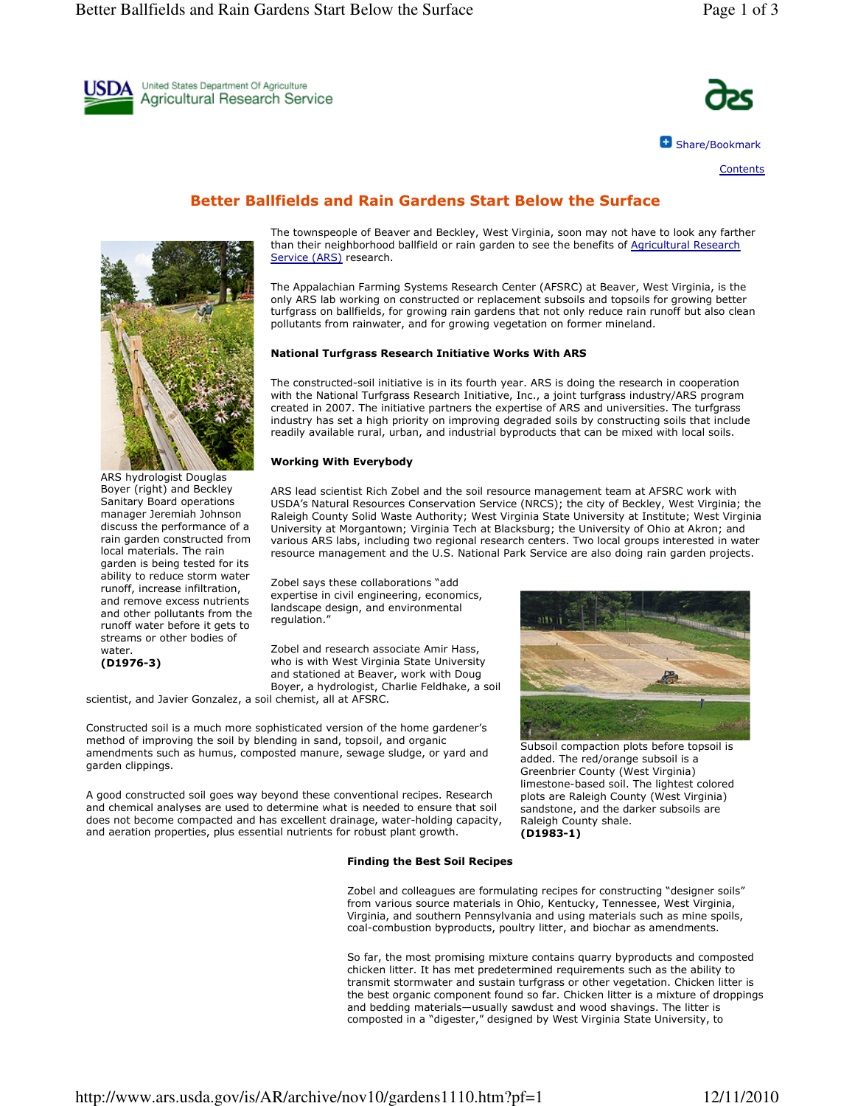



**C** Share/Bookmark

Contents

# Better Ballfields and Rain Gardens Start Below the Surface



ARS hydrologist Douglas Boyer (right) and Beckley Sanitary Board operations manager Jeremiah Johnson discuss the performance of a rain garden constructed from local materials. The rain garden is being tested for its ability to reduce storm water runoff, increase infiltration, and remove excess nutrients and other pollutants from the runoff water before it gets to streams or other bodies of water. (D1976-3)

The townspeople of Beaver and Beckley, West Virginia, soon may not have to look any farther than their neighborhood ballfield or rain garden to see the benefits of Agricultural Research Service (ARS) research.

The Appalachian Farming Systems Research Center (AFSRC) at Beaver, West Virginia, is the only ARS lab working on constructed or replacement subsoils and topsoils for growing better turfgrass on ballfields, for growing rain gardens that not only reduce rain runoff but also clean pollutants from rainwater, and for growing vegetation on former mineland.

### National Turfgrass Research Initiative Works With ARS

The constructed-soil initiative is in its fourth year. ARS is doing the research in cooperation with the National Turfgrass Research Initiative, Inc., a joint turfgrass industry/ARS program created in 2007. The initiative partners the expertise of ARS and universities. The turfgrass industry has set a high priority on improving degraded soils by constructing soils that include readily available rural, urban, and industrial byproducts that can be mixed with local soils.

#### Working With Everybody

ARS lead scientist Rich Zobel and the soil resource management team at AFSRC work with USDA's Natural Resources Conservation Service (NRCS); the city of Beckley, West Virginia; the Raleigh County Solid Waste Authority; West Virginia State University at Institute; West Virginia University at Morgantown; Virginia Tech at Blacksburg; the University of Ohio at Akron; and various ARS labs, including two regional research centers. Two local groups interested in water resource management and the U.S. National Park Service are also doing rain garden projects.

Zobel says these collaborations "add expertise in civil engineering, economics, landscape design, and environmental regulation."

Zobel and research associate Amir Hass, who is with West Virginia State University and stationed at Beaver, work with Doug Boyer, a hydrologist, Charlie Feldhake, a soil

scientist, and Javier Gonzalez, a soil chemist, all at AFSRC.

Constructed soil is a much more sophisticated version of the home gardener's method of improving the soil by blending in sand, topsoil, and organic amendments such as humus, composted manure, sewage sludge, or yard and garden clippings.

A good constructed soil goes way beyond these conventional recipes. Research and chemical analyses are used to determine what is needed to ensure that soil does not become compacted and has excellent drainage, water-holding capacity, and aeration properties, plus essential nutrients for robust plant growth.

#### Finding the Best Soil Recipes



Subsoil compaction plots before topsoil is added. The red/orange subsoil is a Greenbrier County (West Virginia) limestone-based soil. The lightest colored plots are Raleigh County (West Virginia) sandstone, and the darker subsoils are Raleigh County shale. (D1983-1)

Zobel and colleagues are formulating recipes for constructing "designer soils" from various source materials in Ohio, Kentucky, Tennessee, West Virginia, Virginia, and southern Pennsylvania and using materials such as mine spoils, coal-combustion byproducts, poultry litter, and biochar as amendments.

So far, the most promising mixture contains quarry byproducts and composted chicken litter. It has met predetermined requirements such as the ability to transmit stormwater and sustain turfgrass or other vegetation. Chicken litter is the best organic component found so far. Chicken litter is a mixture of droppings and bedding materials—usually sawdust and wood shavings. The litter is composted in a "digester," designed by West Virginia State University, to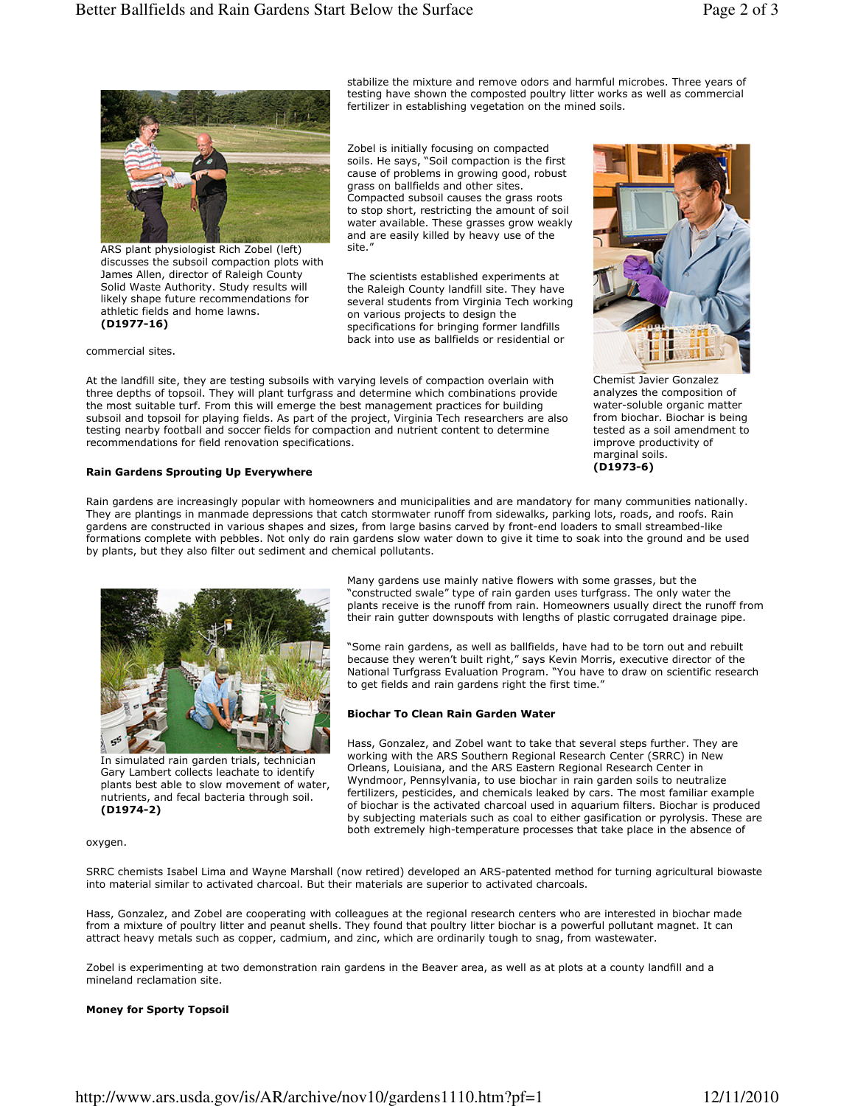

ARS plant physiologist Rich Zobel (left) discusses the subsoil compaction plots with James Allen, director of Raleigh County Solid Waste Authority. Study results will likely shape future recommendations for athletic fields and home lawns. (D1977-16)

commercial sites.

At the landfill site, they are testing subsoils with varying levels of compaction overlain with three depths of topsoil. They will plant turfgrass and determine which combinations provide the most suitable turf. From this will emerge the best management practices for building subsoil and topsoil for playing fields. As part of the project, Virginia Tech researchers are also testing nearby football and soccer fields for compaction and nutrient content to determine recommendations for field renovation specifications.

site."



Chemist Javier Gonzalez analyzes the composition of water-soluble organic matter from biochar. Biochar is being tested as a soil amendment to improve productivity of marginal soils. (D1973-6)

# Rain Gardens Sprouting Up Everywhere

Rain gardens are increasingly popular with homeowners and municipalities and are mandatory for many communities nationally. They are plantings in manmade depressions that catch stormwater runoff from sidewalks, parking lots, roads, and roofs. Rain gardens are constructed in various shapes and sizes, from large basins carved by front-end loaders to small streambed-like formations complete with pebbles. Not only do rain gardens slow water down to give it time to soak into the ground and be used by plants, but they also filter out sediment and chemical pollutants.



In simulated rain garden trials, technician Gary Lambert collects leachate to identify plants best able to slow movement of water, nutrients, and fecal bacteria through soil. (D1974-2)

Many gardens use mainly native flowers with some grasses, but the "constructed swale" type of rain garden uses turfgrass. The only water the plants receive is the runoff from rain. Homeowners usually direct the runoff from their rain gutter downspouts with lengths of plastic corrugated drainage pipe.

stabilize the mixture and remove odors and harmful microbes. Three years of testing have shown the composted poultry litter works as well as commercial

fertilizer in establishing vegetation on the mined soils.

Zobel is initially focusing on compacted soils. He says, "Soil compaction is the first cause of problems in growing good, robust grass on ballfields and other sites. Compacted subsoil causes the grass roots to stop short, restricting the amount of soil water available. These grasses grow weakly and are easily killed by heavy use of the

The scientists established experiments at the Raleigh County landfill site. They have several students from Virginia Tech working

on various projects to design the specifications for bringing former landfills back into use as ballfields or residential or

"Some rain gardens, as well as ballfields, have had to be torn out and rebuilt because they weren't built right," says Kevin Morris, executive director of the National Turfgrass Evaluation Program. "You have to draw on scientific research to get fields and rain gardens right the first time."

### Biochar To Clean Rain Garden Water

Hass, Gonzalez, and Zobel want to take that several steps further. They are working with the ARS Southern Regional Research Center (SRRC) in New Orleans, Louisiana, and the ARS Eastern Regional Research Center in Wyndmoor, Pennsylvania, to use biochar in rain garden soils to neutralize fertilizers, pesticides, and chemicals leaked by cars. The most familiar example of biochar is the activated charcoal used in aquarium filters. Biochar is produced by subjecting materials such as coal to either gasification or pyrolysis. These are both extremely high-temperature processes that take place in the absence of

### oxygen.

SRRC chemists Isabel Lima and Wayne Marshall (now retired) developed an ARS-patented method for turning agricultural biowaste into material similar to activated charcoal. But their materials are superior to activated charcoals.

Hass, Gonzalez, and Zobel are cooperating with colleagues at the regional research centers who are interested in biochar made from a mixture of poultry litter and peanut shells. They found that poultry litter biochar is a powerful pollutant magnet. It can attract heavy metals such as copper, cadmium, and zinc, which are ordinarily tough to snag, from wastewater.

Zobel is experimenting at two demonstration rain gardens in the Beaver area, as well as at plots at a county landfill and a mineland reclamation site.

### Money for Sporty Topsoil